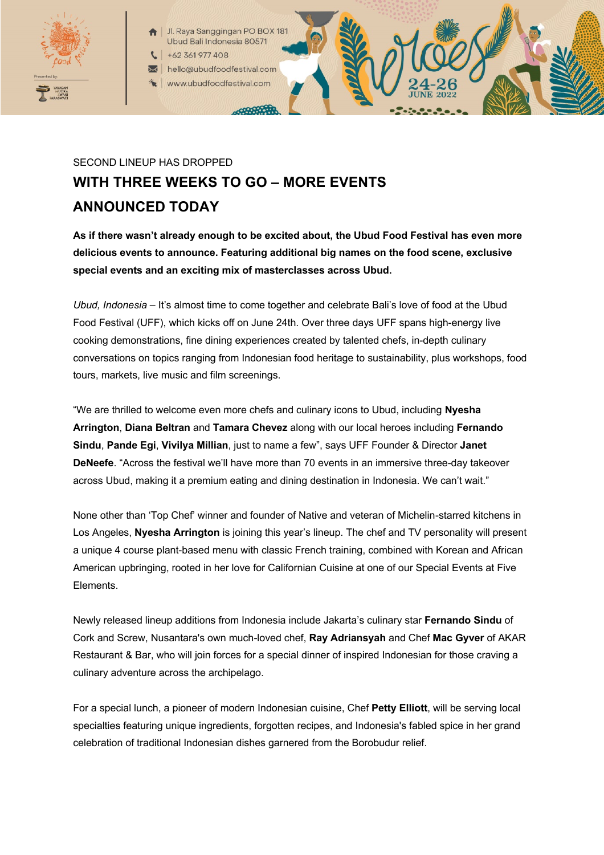

Jl. Raya Sanggingan PO BOX 18 Ubud Bali Indonesia 80571

+62 361 977 408

hello@ubudfoodfestival.com www.ubudfoodfestival.com

## SECOND LINEUP HAS DROPPED **WITH THREE WEEKS TO GO – MORE EVENTS ANNOUNCED TODAY**

000000000

**As if there wasn't already enough to be excited about, the Ubud Food Festival has even more delicious events to announce. Featuring additional big names on the food scene, exclusive special events and an exciting mix of masterclasses across Ubud.**

*Ubud, Indonesia* – It's almost time to come together and celebrate Bali's love of food at the Ubud Food Festival (UFF), which kicks off on June 24th. Over three days UFF spans high-energy live cooking demonstrations, fine dining experiences created by talented chefs, in-depth culinary conversations on topics ranging from Indonesian food heritage to sustainability, plus workshops, food tours, markets, live music and film screenings.

"We are thrilled to welcome even more chefs and culinary icons to Ubud, including **Nyesha Arrington**, **Diana Beltran** and **Tamara Chevez** along with our local heroes including **Fernando Sindu**, **Pande Egi**, **Vivilya Millian**, just to name a few", says UFF Founder & Director **Janet DeNeefe**. "Across the festival we'll have more than 70 events in an immersive three-day takeover across Ubud, making it a premium eating and dining destination in Indonesia. We can't wait."

None other than 'Top Chef' winner and founder of Native and veteran of Michelin-starred kitchens in Los Angeles, **Nyesha Arrington** is joining this year's lineup. The chef and TV personality will present a unique 4 course plant-based menu with classic French training, combined with Korean and African American upbringing, rooted in her love for Californian Cuisine at one of our Special Events at Five Elements.

Newly released lineup additions from Indonesia include Jakarta's culinary star **Fernando Sindu** of Cork and Screw, Nusantara's own much-loved chef, **Ray Adriansyah** and Chef **Mac Gyver** of AKAR Restaurant & Bar, who will join forces for a special dinner of inspired Indonesian for those craving a culinary adventure across the archipelago.

For a special lunch, a pioneer of modern Indonesian cuisine, Chef **Petty Elliott**, will be serving local specialties featuring unique ingredients, forgotten recipes, and Indonesia's fabled spice in her grand celebration of traditional Indonesian dishes garnered from the Borobudur relief.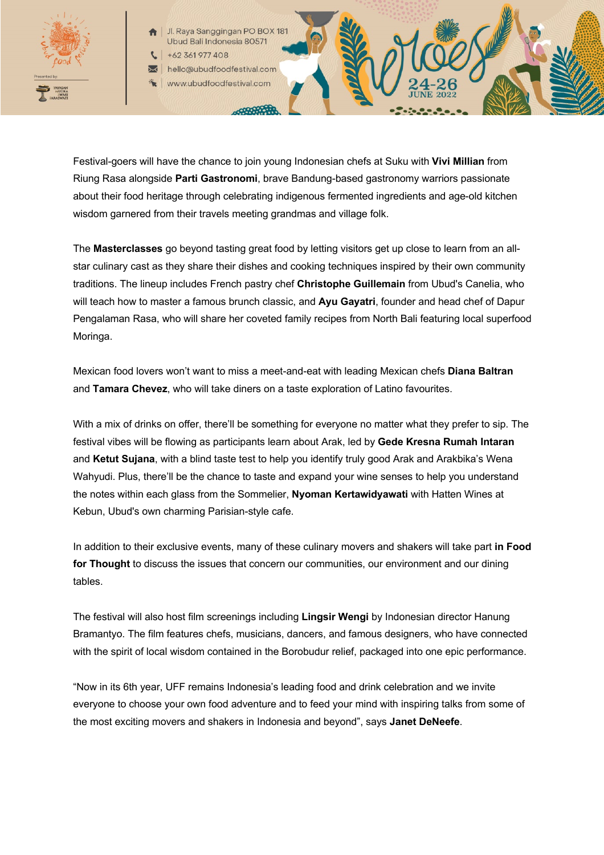

Jl. Raya Sanggingan PO BOX 18 Ubud Bali Indonesia 80571

+62 361 977 408

hello@ubudfoodfestival.com www.ubudfoodfestival.com

Festival-goers will have the chance to join young Indonesian chefs at Suku with **Vivi Millian** from Riung Rasa alongside **Parti Gastronomi**, brave Bandung-based gastronomy warriors passionate about their food heritage through celebrating indigenous fermented ingredients and age-old kitchen wisdom garnered from their travels meeting grandmas and village folk.

The **Masterclasses** go beyond tasting great food by letting visitors get up close to learn from an allstar culinary cast as they share their dishes and cooking techniques inspired by their own community traditions. The lineup includes French pastry chef **Christophe Guillemain** from Ubud's Canelia, who will teach how to master a famous brunch classic, and **Ayu Gayatri**, founder and head chef of Dapur Pengalaman Rasa, who will share her coveted family recipes from North Bali featuring local superfood Moringa.

Mexican food lovers won't want to miss a meet-and-eat with leading Mexican chefs **Diana Baltran** and **Tamara Chevez**, who will take diners on a taste exploration of Latino favourites.

With a mix of drinks on offer, there'll be something for everyone no matter what they prefer to sip. The festival vibes will be flowing as participants learn about Arak, led by **Gede Kresna Rumah Intaran** and **Ketut Sujana**, with a blind taste test to help you identify truly good Arak and Arakbika's Wena Wahyudi. Plus, there'll be the chance to taste and expand your wine senses to help you understand the notes within each glass from the Sommelier, **Nyoman Kertawidyawati** with Hatten Wines at Kebun, Ubud's own charming Parisian-style cafe.

In addition to their exclusive events, many of these culinary movers and shakers will take part **in Food for Thought** to discuss the issues that concern our communities, our environment and our dining tables.

The festival will also host film screenings including **Lingsir Wengi** by Indonesian director Hanung Bramantyo. The film features chefs, musicians, dancers, and famous designers, who have connected with the spirit of local wisdom contained in the Borobudur relief, packaged into one epic performance.

"Now in its 6th year, UFF remains Indonesia's leading food and drink celebration and we invite everyone to choose your own food adventure and to feed your mind with inspiring talks from some of the most exciting movers and shakers in Indonesia and beyond", says **Janet DeNeefe**.